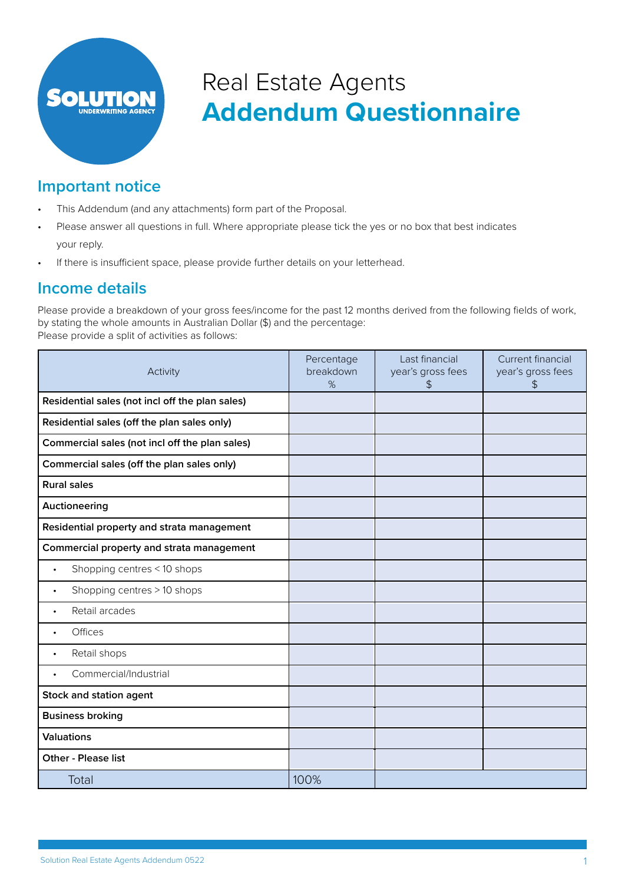

# **Addendum Questionnaire** Real Estate Agents

## **Important notice**

- This Addendum (and any attachments) form part of the Proposal.
- Please answer all questions in full. Where appropriate please tick the yes or no box that best indicates your reply.
- If there is insufficient space, please provide further details on your letterhead.

### **Income details**

Please provide a breakdown of your gross fees/income for the past 12 months derived from the following fields of work, by stating the whole amounts in Australian Dollar (\$) and the percentage: Please provide a split of activities as follows:

| Activity                                        | Percentage<br>breakdown<br>% | Last financial<br>year's gross fees<br>\$ | Current financial<br>year's gross fees<br>\$ |
|-------------------------------------------------|------------------------------|-------------------------------------------|----------------------------------------------|
| Residential sales (not incl off the plan sales) |                              |                                           |                                              |
| Residential sales (off the plan sales only)     |                              |                                           |                                              |
| Commercial sales (not incl off the plan sales)  |                              |                                           |                                              |
| Commercial sales (off the plan sales only)      |                              |                                           |                                              |
| <b>Rural sales</b>                              |                              |                                           |                                              |
| Auctioneering                                   |                              |                                           |                                              |
| Residential property and strata management      |                              |                                           |                                              |
| Commercial property and strata management       |                              |                                           |                                              |
| Shopping centres < 10 shops<br>$\bullet$        |                              |                                           |                                              |
| Shopping centres > 10 shops<br>$\bullet$        |                              |                                           |                                              |
| Retail arcades<br>$\bullet$                     |                              |                                           |                                              |
| Offices<br>$\bullet$                            |                              |                                           |                                              |
| Retail shops<br>$\bullet$                       |                              |                                           |                                              |
| Commercial/Industrial<br>$\bullet$              |                              |                                           |                                              |
| Stock and station agent                         |                              |                                           |                                              |
| <b>Business broking</b>                         |                              |                                           |                                              |
| <b>Valuations</b>                               |                              |                                           |                                              |
| <b>Other - Please list</b>                      |                              |                                           |                                              |
| Total                                           | 100%                         |                                           |                                              |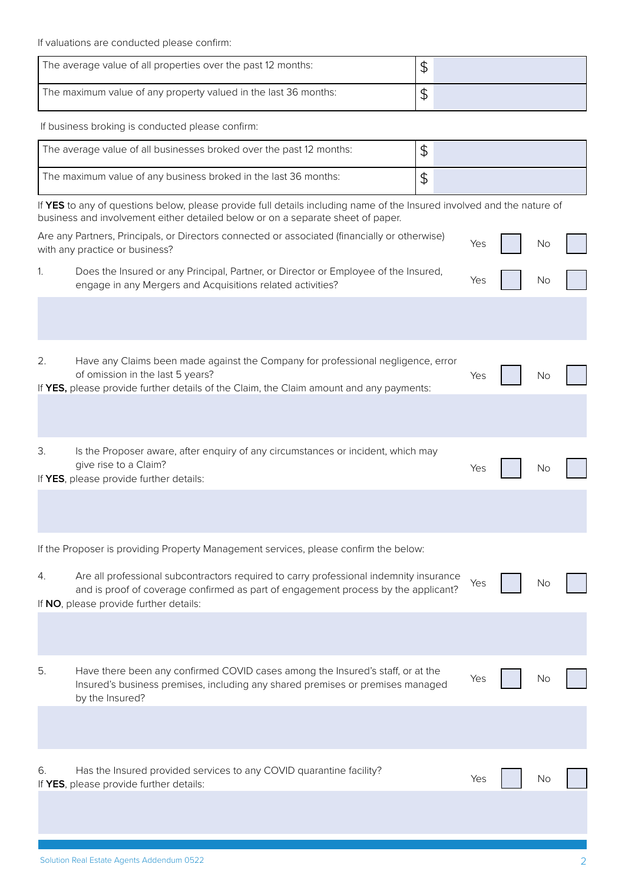If valuations are conducted please confirm:

| The average value of all properties over the past 12 months:    |  |
|-----------------------------------------------------------------|--|
| The maximum value of any property valued in the last 36 months: |  |

If business broking is conducted please confirm:

| The average value of all businesses broked over the past 12 months: |  |
|---------------------------------------------------------------------|--|
| The maximum value of any business broked in the last 36 months:     |  |

If **YES** to any of questions below, please provide full details including name of the Insured involved and the nature of business and involvement either detailed below or on a separate sheet of paper.

| Are any Partners, Principals, or Directors connected or associated (financially or otherwise)<br>with any practice or business?                   | Yes No |           |  |
|---------------------------------------------------------------------------------------------------------------------------------------------------|--------|-----------|--|
| Does the Insured or any Principal, Partner, or Director or Employee of the Insured,<br>engage in any Mergers and Acquisitions related activities? | Yes    | <b>No</b> |  |

|                                                                                                                                                                   | 2. | Have any Claims been made against the Company for professional negligence, error<br>of omission in the last 5 years?<br>If YES, please provide further details of the Claim, the Claim amount and any payments: | Yes | No |  |
|-------------------------------------------------------------------------------------------------------------------------------------------------------------------|----|-----------------------------------------------------------------------------------------------------------------------------------------------------------------------------------------------------------------|-----|----|--|
|                                                                                                                                                                   |    |                                                                                                                                                                                                                 |     |    |  |
| 3.<br>Is the Proposer aware, after enquiry of any circumstances or incident, which may<br>give rise to a Claim?<br>Yes<br>If YES, please provide further details: |    |                                                                                                                                                                                                                 |     |    |  |

If the Proposer is providing Property Management services, please confirm the below:

| 4 | Are all professional subcontractors required to carry professional indemnity insurance |  | No |  |
|---|----------------------------------------------------------------------------------------|--|----|--|
|   | and is proof of coverage confirmed as part of engagement process by the applicant?     |  |    |  |
|   | If NO, please provide further details:                                                 |  |    |  |

| 5. | Have there been any confirmed COVID cases among the Insured's staff, or at the |
|----|--------------------------------------------------------------------------------|
|    | Insured's business premises, including any shared premises or premises managed |
|    | by the Insured?                                                                |

| 6. | Has the Insured provided services to any COVID quarantine facility? |  | Yes No |  |
|----|---------------------------------------------------------------------|--|--------|--|
|    | If <b>YES</b> , please provide further details:                     |  |        |  |
|    |                                                                     |  |        |  |

Yes No